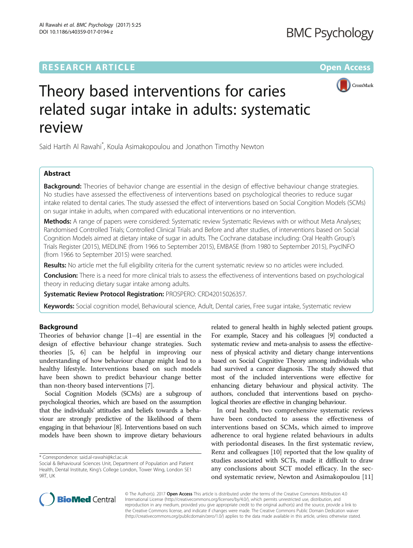## **RESEARCH ARTICLE External Structure Community Community Community Community Community Community Community Community**



# Theory based interventions for caries related sugar intake in adults: systematic review

Said Hartih Al Rawahi<sup>\*</sup>, Koula Asimakopoulou and Jonathon Timothy Newton

## Abstract

**Background:** Theories of behavior change are essential in the design of effective behaviour change strategies. No studies have assessed the effectiveness of interventions based on psychological theories to reduce sugar intake related to dental caries. The study assessed the effect of interventions based on Social Congition Models (SCMs) on sugar intake in adults, when compared with educational interventions or no intervention.

Methods: A range of papers were considered: Systematic review Systematic Reviews with or without Meta Analyses; Randomised Controlled Trials; Controlled Clinical Trials and Before and after studies, of interventions based on Social Cognition Models aimed at dietary intake of sugar in adults. The Cochrane database including: Oral Health Group's Trials Register (2015), MEDLINE (from 1966 to September 2015), EMBASE (from 1980 to September 2015), PsycINFO (from 1966 to September 2015) were searched.

Results: No article met the full eligibility criteria for the current systematic review so no articles were included.

**Conclusion:** There is a need for more clinical trials to assess the effectiveness of interventions based on psychological theory in reducing dietary sugar intake among adults.

Systematic Review Protocol Registration: PROSPERO: [CRD42015026357.](http://www.crd.york.ac.uk/PROSPERO/display_record.asp?ID=CRD42015026357)

Keywords: Social cognition model, Behavioural science, Adult, Dental caries, Free sugar intake, Systematic review

## Background

Theories of behavior change [[1](#page-4-0)–[4](#page-4-0)] are essential in the design of effective behaviour change strategies. Such theories [[5, 6\]](#page-4-0) can be helpful in improving our understanding of how behaviour change might lead to a healthy lifestyle. Interventions based on such models have been shown to predict behaviour change better than non-theory based interventions [\[7](#page-5-0)].

Social Cognition Models (SCMs) are a subgroup of psychological theories, which are based on the assumption that the individuals' attitudes and beliefs towards a behaviour are strongly predictive of the likelihood of them engaging in that behaviour [\[8\]](#page-5-0). Interventions based on such models have been shown to improve dietary behaviours

related to general health in highly selected patient groups. For example, Stacey and his colleagues [[9](#page-5-0)] conducted a systematic review and meta-analysis to assess the effectiveness of physical activity and dietary change interventions based on Social Cognitive Theory among individuals who had survived a cancer diagnosis. The study showed that most of the included interventions were effective for enhancing dietary behaviour and physical activity. The authors, concluded that interventions based on psychological theories are effective in changing behaviour.

In oral health, two comprehensive systematic reviews have been conducted to assess the effectiveness of interventions based on SCMs, which aimed to improve adherence to oral hygiene related behaviours in adults with periodontal diseases. In the first systematic review, Renz and colleagues [[10\]](#page-5-0) reported that the low quality of studies associated with SCTs, made it difficult to draw any conclusions about SCT model efficacy. In the second systematic review, Newton and Asimakopoulou [[11](#page-5-0)]



© The Author(s). 2017 **Open Access** This article is distributed under the terms of the Creative Commons Attribution 4.0 International License [\(http://creativecommons.org/licenses/by/4.0/](http://creativecommons.org/licenses/by/4.0/)), which permits unrestricted use, distribution, and reproduction in any medium, provided you give appropriate credit to the original author(s) and the source, provide a link to the Creative Commons license, and indicate if changes were made. The Creative Commons Public Domain Dedication waiver [\(http://creativecommons.org/publicdomain/zero/1.0/](http://creativecommons.org/publicdomain/zero/1.0/)) applies to the data made available in this article, unless otherwise stated.

<sup>\*</sup> Correspondence: [said.al-rawahi@kcl.ac.uk](mailto:said.al-rawahi@kcl.ac.uk)

Social & Behavioural Sciences Unit, Department of Population and Patient Health, Dental Institute, King's College London, Tower Wing, London SE1 9RT, UK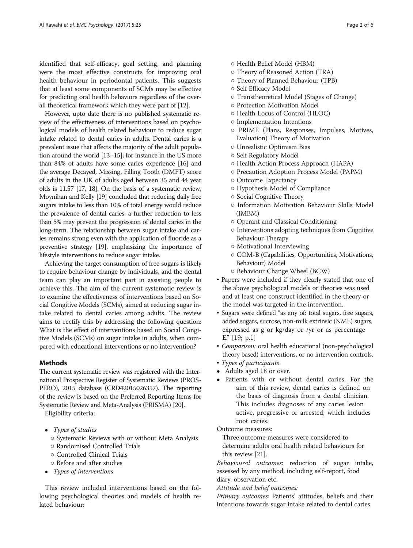identified that self-efficacy, goal setting, and planning were the most effective constructs for improving oral health behaviour in periodontal patients. This suggests that at least some components of SCMs may be effective for predicting oral health behaviors regardless of the overall theoretical framework which they were part of [\[12](#page-5-0)].

However, upto date there is no published systematic review of the effectiveness of interventions based on psychological models of health related behaviour to reduce sugar intake related to dental caries in adults. Dental caries is a prevalent issue that affects the majority of the adult population around the world [\[13](#page-5-0)–[15\]](#page-5-0); for instance in the US more than 84% of adults have some caries experience [\[16\]](#page-5-0) and the average Decayed, Missing, Filling Tooth (DMFT) score of adults in the UK of adults aged between 35 and 44 year olds is 11.57 [\[17](#page-5-0), [18](#page-5-0)]. On the basis of a systematic review, Moynihan and Kelly [\[19](#page-5-0)] concluded that reducing daily free sugars intake to less than 10% of total energy would reduce the prevalence of dental caries; a further reduction to less than 5% may prevent the progression of dental caries in the long-term. The relationship between sugar intake and caries remains strong even with the application of fluoride as a preventive strategy [\[19\]](#page-5-0), emphasizing the importance of lifestyle interventions to reduce sugar intake.

Achieving the target consumption of free sugars is likely to require behaviour change by individuals, and the dental team can play an important part in assisting people to achieve this. The aim of the current systematic review is to examine the effectiveness of interventions based on Social Congitive Models (SCMs), aimed at reducing sugar intake related to dental caries among adults. The review aims to rectify this by addressing the following question: What is the effect of interventions based on Social Congitive Models (SCMs) on sugar intake in adults, when compared with educational interventions or no intervention?

## Methods

The current systematic review was registered with the International Prospective Register of Systematic Reviews (PROS-PERO), 2015 database (CRD42015026357). The reporting of the review is based on the Preferred Reporting Items for Systematic Review and Meta-Analysis (PRISMA) [\[20\]](#page-5-0).

Eligibility criteria:

- Types of studies
	- Systematic Reviews with or without Meta Analysis
	- Randomised Controlled Trials
	- Controlled Clinical Trials
	- Before and after studies
- Types of interventions

This review included interventions based on the following psychological theories and models of health related behaviour:

- Health Belief Model (HBM)
- Theory of Reasoned Action (TRA)
- Theory of Planned Behaviour (TPB)
- Self Efficacy Model
- Transtheoretical Model (Stages of Change)
- Protection Motivation Model
- Health Locus of Control (HLOC)
- Implementation Intentions
- PRIME (Plans, Responses, Impulses, Motives, Evaluation) Theory of Motivation
- Unrealistic Optimism Bias
- Self Regulatory Model
- Health Action Process Approach (HAPA)
- Precaution Adoption Process Model (PAPM)
- Outcome Expectancy
- Hypothesis Model of Compliance
- Social Cognitive Theory
- Information Motivation Behaviour Skills Model (IMBM)
- Operant and Classical Conditioning
- Interventions adopting techniques from Cognitive Behaviour Therapy
- Motivational Interviewing
- COM-B (Capabilities, Opportunities, Motivations, Behaviour) Model
- Behaviour Change Wheel (BCW)
- Papers were included if they clearly stated that one of the above psychological models or theories was used and at least one construct identified in the theory or the model was targeted in the intervention.
- Sugars were defined "as any of: total sugars, free sugars, added sugars, sucrose, non-milk extrinsic (NME) sugars, expressed as g or kg/day or /yr or as percentage E." [19; p.1]
- Comparison: oral health educational (non-psychological theory based) interventions, or no intervention controls.
- Types of participants
- Adults aged 18 or over.
- Patients with or without dental caries. For the aim of this review, dental caries is defined on the basis of diagnosis from a dental clinician. This includes diagnoses of any caries lesion active, progressive or arrested, which includes root caries.

Outcome measures:

Three outcome measures were considered to determine adults oral health related behaviours for this review [\[21](#page-5-0)].

Behavioural outcomes: reduction of sugar intake, assessed by any method, including self-report, food diary, observation etc.

Attitude and belief outcomes:

Primary outcomes: Patients' attitudes, beliefs and their intentions towards sugar intake related to dental caries.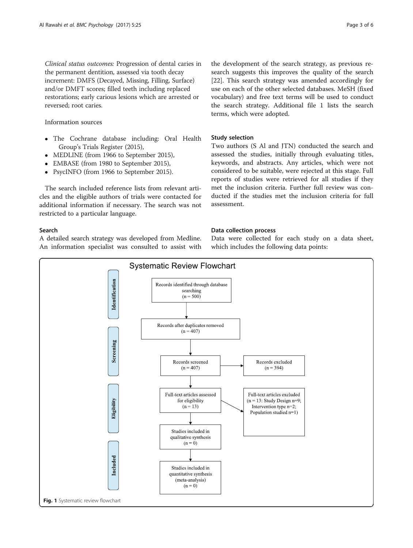<span id="page-2-0"></span>Clinical status outcomes: Progression of dental caries in the permanent dentition, assessed via tooth decay increment: DMFS (Decayed, Missing, Filling, Surface) and/or DMFT scores; filled teeth including replaced restorations; early carious lesions which are arrested or reversed; root caries.

## Information sources

- The Cochrane database including: Oral Health Group's Trials Register (2015),
- MEDLINE (from 1966 to September 2015),
- EMBASE (from 1980 to September 2015),
- PsycINFO (from 1966 to September 2015).

The search included reference lists from relevant articles and the eligible authors of trials were contacted for additional information if necessary. The search was not restricted to a particular language.

#### Search

A detailed search strategy was developed from Medline. An information specialist was consulted to assist with

the development of the search strategy, as previous research suggests this improves the quality of the search [[22\]](#page-5-0). This search strategy was amended accordingly for use on each of the other selected databases. MeSH (fixed vocabulary) and free text terms will be used to conduct the search strategy. Additional file [1](#page-4-0) lists the search terms, which were adopted.

## Study selection

Two authors (S Al and JTN) conducted the search and assessed the studies, initially through evaluating titles, keywords, and abstracts. Any articles, which were not considered to be suitable, were rejected at this stage. Full reports of studies were retrieved for all studies if they met the inclusion criteria. Further full review was conducted if the studies met the inclusion criteria for full assessment.

## Data collection process

Data were collected for each study on a data sheet, which includes the following data points:

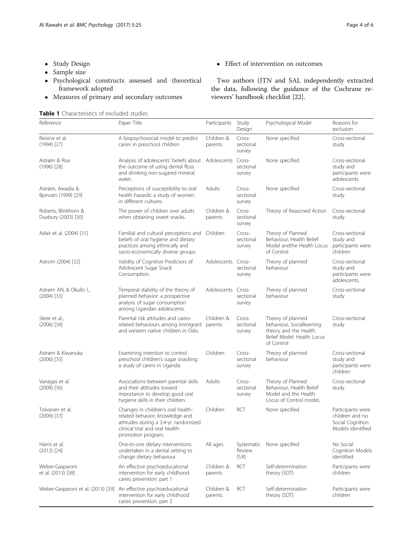- <span id="page-3-0"></span>• Study Design
- Sample size
- Psychological constructs assessed and theoretical framework adopted
- Measures of primary and secondary outcomes

## Table 1 Characteristics of excluded studies

Effect of intervention on outcomes

Two authors (JTN and SAL independently extracted the data, following the guidance of the Cochrane reviewers' handbook checklist [\[22\]](#page-5-0).

| Reference                                   | Paper Title                                                                                                                                                             | Participants          | Study<br>Design               | Psychological Model                                                                                                 | Reasons for<br>exclusion                                                      |
|---------------------------------------------|-------------------------------------------------------------------------------------------------------------------------------------------------------------------------|-----------------------|-------------------------------|---------------------------------------------------------------------------------------------------------------------|-------------------------------------------------------------------------------|
| Reisine et al.<br>$(1994)$ [27]             | A biopsychosocial model to predict<br>caries in preschool children                                                                                                      | Children &<br>parents | Cross-<br>sectional<br>survey | None specified                                                                                                      | Cross-sectional<br>study                                                      |
| Astrøm & Rise<br>$(1996)$ [28]              | Analysis of adolescents' beliefs about Adolescents Cross-<br>the outcome of using dental floss<br>and drinking non-sugared mineral<br>water.                            |                       | sectional<br>survey           | None specified                                                                                                      | Cross-sectional<br>study and<br>participants were<br>adolescents              |
| Astrøm, Awadia &<br>Bjorvatn (1999) [29]    | Perceptions of susceptibility to oral<br>health hazards: a study of women<br>in different cultures.                                                                     | Adults                | Cross-<br>sectional<br>survey | None specified                                                                                                      | Cross-sectional<br>study                                                      |
| Roberts, Blinkhorn &<br>Duxbury (2003) [30] | The power of children over adults<br>when obtaining sweet snacks.                                                                                                       | Children &<br>parents | Cross-<br>sectional<br>survey | Theory of Reasoned Action                                                                                           | Cross-sectional<br>study                                                      |
| Adair et al. (2004) [31]                    | Familial and cultural perceptions and<br>beliefs of oral hygiene and dietary<br>practices among ethnically and<br>socio-economically diverse groups.                    | Children              | Cross-<br>sectional<br>survey | Theory of Planned<br>Behaviour, Health Belief<br>Model andthe Health Locus<br>of Control                            | Cross-sectional<br>study and<br>participants were<br>children                 |
| Astrom (2004) [32]                          | Validity of Cognitive Predictors of<br>Adolescent Sugar Snack<br>Consumption.                                                                                           | Adolescents Cross-    | sectional<br>survey           | Theory of planned<br>behaviour                                                                                      | Cross-sectional<br>study and<br>participants were<br>adolescents.             |
| Astrøm AN, & Okullo I.,<br>$(2004)$ [33]    | Temporal stability of the theory of<br>planned behavior: a prospective<br>analysis of sugar consumption<br>among Ugandan adolescents.                                   | Adolescents Cross-    | sectional<br>survey           | Theory of planned<br>behaviour                                                                                      | Cross-sectional<br>study                                                      |
| Skeie et al.,<br>$(2006)$ [34]              | Parental risk attitudes and caries-<br>related behaviours among immigrant parents<br>and western native children in Oslo.                                               | Children &            | Cross-<br>sectional<br>survey | Theory of planned<br>behaviour, Sociallearning<br>theory and the Health<br>Belief Model. Health Locus<br>of Control | Cross-sectional<br>study                                                      |
| Astrøm & Kiwanuka<br>$(2006)$ [35]          | Examining intention to control<br>preschool children's sugar snacking:<br>a study of carers in Uganda.                                                                  | Children              | Cross-<br>sectional<br>survey | Theory of planned<br>behaviour                                                                                      | Cross-sectional<br>study and<br>participants were<br>children                 |
| Vanagas et al.<br>$(2009)$ [36]             | Associations between parental skills<br>and their attitudes toward<br>importance to develop good oral<br>hygiene skills in their children.                              | Adults                | Cross-<br>sectional<br>survey | Theory of Planned<br>Behaviour, Health Belief<br>Model and the Health<br>Locus of Control model,                    | Cross-sectional<br>study                                                      |
| Tolvanen et al.<br>$(2009)$ [37]            | Changes in children's oral health-<br>related behavior, knowledge and<br>attitudes during a 3.4-yr. randomized<br>clinical trial and oral health-<br>promotion program. | Children              | <b>RCT</b>                    | None specified                                                                                                      | Participants were<br>children and no<br>Social Cognition<br>Models identified |
| Harris et al.<br>$(2012)$ [24]              | One-to-one dietary interventions<br>undertaken in a dental setting to<br>change dietary behaviour.                                                                      | All ages              | Systematic<br>Review<br>(S.R) | None specified                                                                                                      | No Social<br>Cognition Models<br>identified                                   |
| Weber-Gasparoni<br>et al. (2013) [38]       | An effective psychoeducational<br>intervention for early childhood<br>caries prevention: part 1                                                                         | Children &<br>parents | RCT                           | Self-determination<br>theory (SDT)                                                                                  | Participants were<br>children                                                 |
| Weber-Gasparoni et al. (2013) [39]          | An effective psychoeducational<br>intervention for early childhood<br>caries prevention: part 2                                                                         | Children &<br>parents | RCT                           | Self-determination<br>theory (SDT)                                                                                  | Participants were<br>children                                                 |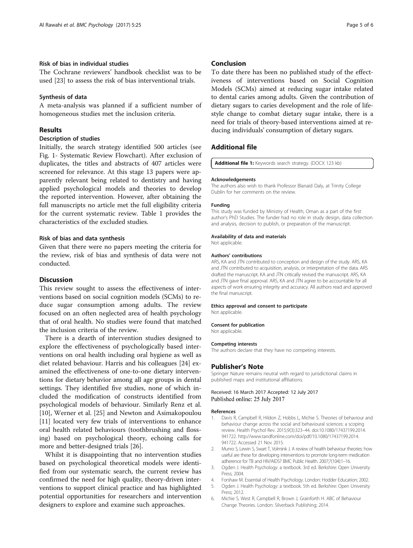#### <span id="page-4-0"></span>Risk of bias in individual studies

The Cochrane reviewers' handbook checklist was to be used [[23](#page-5-0)] to assess the risk of bias interventional trials.

#### Synthesis of data

A meta-analysis was planned if a sufficient number of homogeneous studies met the inclusion criteria.

#### Results

## Description of studies

Initially, the search strategy identified 500 articles (see Fig. [1-](#page-2-0) Systematic Review Flowchart). After exclusion of duplicates, the titles and abstracts of 407 articles were screened for relevance. At this stage 13 papers were apparently relevant being related to dentistry and having applied psychological models and theories to develop the reported intervention. However, after obtaining the full manuscripts no article met the full eligibility criteria for the current systematic review. Table [1](#page-3-0) provides the characteristics of the excluded studies.

#### Risk of bias and data synthesis

Given that there were no papers meeting the criteria for the review, risk of bias and synthesis of data were not conducted.

## **Discussion**

This review sought to assess the effectiveness of interventions based on social cognition models (SCMs) to reduce sugar consumption among adults. The review focused on an often neglected area of health psychology that of oral health. No studies were found that matched the inclusion criteria of the review.

There is a dearth of intervention studies designed to explore the effectiveness of psychologically based interventions on oral health including oral hygiene as well as diet related behaviour. Harris and his colleagues [[24](#page-5-0)] examined the effectiveness of one-to-one dietary interventions for dietary behavior among all age groups in dental settings. They identified five studies, none of which included the modification of constructs identified from psychological models of behaviour. Similarly Renz et al. [[10\]](#page-5-0), Werner et al. [\[25](#page-5-0)] and Newton and Asimakopoulou [[11\]](#page-5-0) located very few trials of interventions to enhance oral health related behaviours (toothbrushing and flossing) based on psychological theory, echoing calls for more and better-designed trials [\[26\]](#page-5-0).

Whilst it is disappointing that no intervention studies based on psychological theoretical models were identified from our systematic search, the current review has confirmed the need for high quality, theory-driven interventions to support clinical practice and has highlighted potential opportunities for researchers and intervention designers to explore and examine such approaches.

#### Conclusion

To date there has been no published study of the effectiveness of interventions based on Social Cognition Models (SCMs) aimed at reducing sugar intake related to dental caries among adults. Given the contribution of dietary sugars to caries development and the role of lifestyle change to combat dietary sugar intake, there is a need for trials of theory-based interventions aimed at reducing individuals' consumption of dietary sugars.

## Additional file

[Additional file 1:](dx.doi.org/10.1186/s40359-017-0194-z) Keywords search strategy. (DOCX 123 kb)

#### Acknowledgements

The authors also wish to thank Professor Blanaid Daly, at Trinity College Dublin for her comments on the review.

#### Funding

This study was funded by Ministry of Health, Oman as a part of the first author's PhD Studies. The funder had no role in study design, data collection and analysis, decision to publish, or preparation of the manuscript.

#### Availability of data and materials

Not applicable.

#### Authors' contributions

ARS, KA and JTN contributed to conception and design of the study. ARS, KA and JTN contributed to acquisition, analysis, or interpretation of the data. ARS drafted the manuscript. KA and JTN critically revised the manuscript. ARS, KA and JTN gave final approval. ARS, KA and JTN agree to be accountable for all aspects of work ensuring integrity and accuracy. All authors read and approved the final manuscript.

#### Ethics approval and consent to participate

Not applicable.

#### Consent for publication

Not applicable.

#### Competing interests

The authors declare that they have no competing interests.

#### Publisher's Note

Springer Nature remains neutral with regard to jurisdictional claims in published maps and institutional affiliations.

#### Received: 16 March 2017 Accepted: 12 July 2017 Published online: 25 July 2017

#### References

- 1. Davis R, Campbell R, Hildon Z, Hobbs L, Michie S. Theories of behaviour and behaviour change across the social and behavioural sciences: a scoping review. Health Psychol Rev. 2015;9(3):323–44. doi[:10.1080/17437199.2014.](http://dx.doi.org/10.1080/17437199.2014.941722) [941722](http://dx.doi.org/10.1080/17437199.2014.941722). [http://www.tandfonline.com/doi/pdf/10.1080/17437199.2014.](http://www.tandfonline.com/doi/pdf/10.1080/17437199.2014.941722) [941722](http://www.tandfonline.com/doi/pdf/10.1080/17437199.2014.941722). Accessed 21 Nov 2015.
- Munro S, Lewin S, Swart T, Volmink J. A review of health behaviour theories: how useful are these for developing interventions to promote long-term medication adherence for TB and HIV/AIDS? BMC Public Health. 2007;7(104):1–16.
- 3. Ogden J. Health Psychology: a textbook. 3rd ed. Berkshire: Open University Press; 2004.
- 4. Forshaw M. Essential of Health Psychology. London: Hodder Education; 2002.
- 5. Ogden J. Health Psychology: a textbook. 5th ed. Berkshire: Open University Press; 2012.
- 6. Michie S, West R, Campbell R, Brown J, Grainforth H. ABC of Behaviour Change Theories. London: Silverback Publishing; 2014.